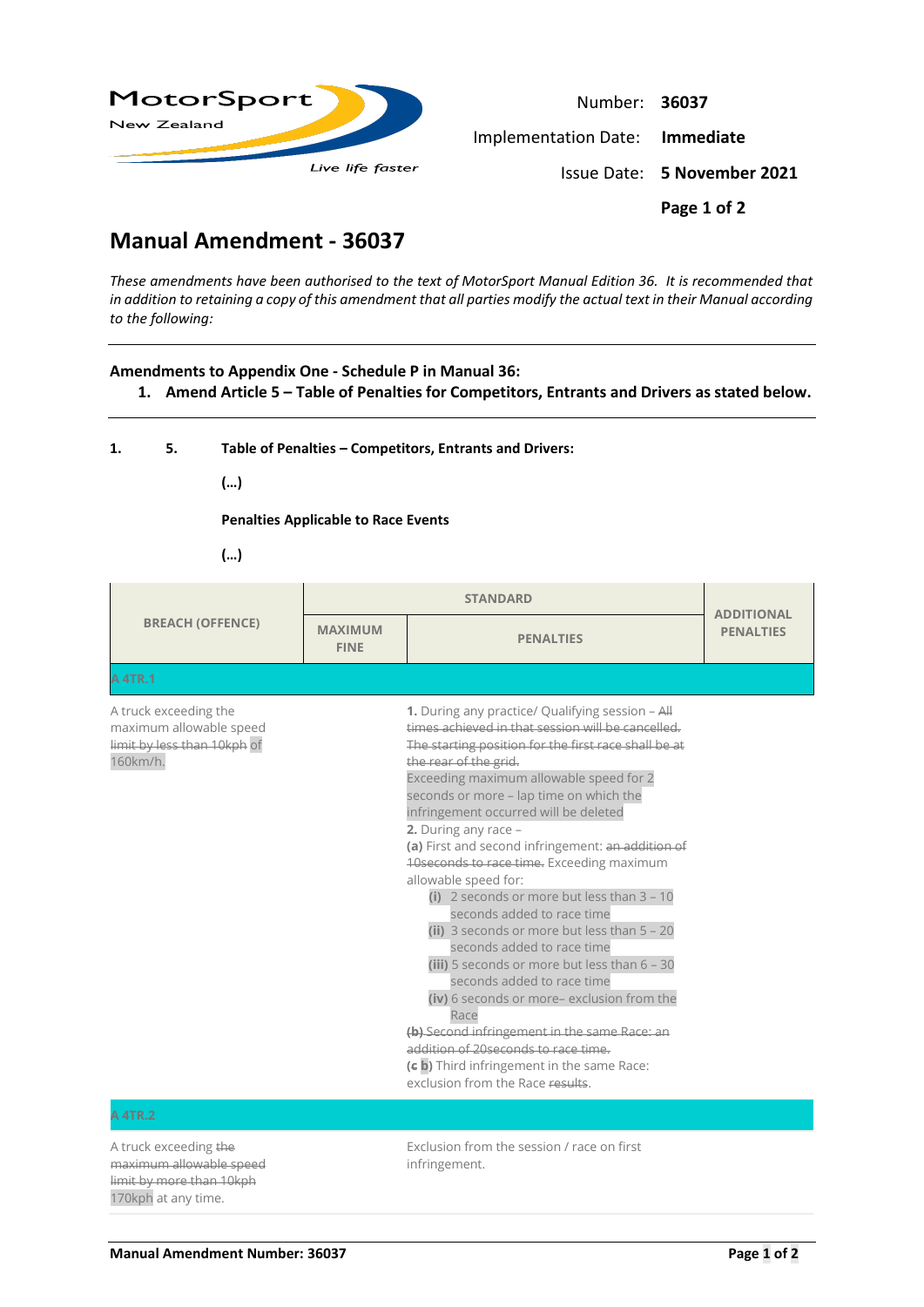

Number: **36037** Implementation Date: **Immediate** Issue Date: **5 November 2021 Page 1 of 2**

## **Manual Amendment - 36037**

*These amendments have been authorised to the text of MotorSport Manual Edition 36. It is recommended that in addition to retaining a copy of this amendment that all parties modify the actual text in their Manual according to the following:*

## **Amendments to Appendix One - Schedule P in Manual 36:**

**1. Amend Article 5 – Table of Penalties for Competitors, Entrants and Drivers as stated below.**

|  | Table of Penalties - Competitors, Entrants and Drivers: |
|--|---------------------------------------------------------|
|  |                                                         |

**(…)**

**Penalties Applicable to Race Events**

**(…)**

| <b>BREACH (OFFENCE)</b>                                                                             | <b>MAXIMUM</b><br><b>FINE</b> | <b>PENALTIES</b>                                                                                                                                                                                                                                                                                                                                                                                                                                                                                                                                                                                                                                                                                                                                                                                                                                                                                                                                      | <b>ADDITIONAL</b><br><b>PENALTIES</b> |
|-----------------------------------------------------------------------------------------------------|-------------------------------|-------------------------------------------------------------------------------------------------------------------------------------------------------------------------------------------------------------------------------------------------------------------------------------------------------------------------------------------------------------------------------------------------------------------------------------------------------------------------------------------------------------------------------------------------------------------------------------------------------------------------------------------------------------------------------------------------------------------------------------------------------------------------------------------------------------------------------------------------------------------------------------------------------------------------------------------------------|---------------------------------------|
| A 4TR.1                                                                                             |                               |                                                                                                                                                                                                                                                                                                                                                                                                                                                                                                                                                                                                                                                                                                                                                                                                                                                                                                                                                       |                                       |
| A truck exceeding the<br>maximum allowable speed<br>limit by less than 10kph of<br>160km/h.         |                               | 1. During any practice/ Qualifying session - All<br>times achieved in that session will be cancelled.<br>The starting position for the first race shall be at<br>the rear of the grid.<br>Exceeding maximum allowable speed for 2<br>seconds or more - lap time on which the<br>infringement occurred will be deleted<br>2. During any race $-$<br>(a) First and second infringement: an addition of<br>40 seconds to race time. Exceeding maximum<br>allowable speed for:<br>(i) 2 seconds or more but less than $3 - 10$<br>seconds added to race time<br>(ii) 3 seconds or more but less than $5 - 20$<br>seconds added to race time<br>(iii) 5 seconds or more but less than 6 - 30<br>seconds added to race time<br>(iv) 6 seconds or more- exclusion from the<br>Race<br>(b) Second infringement in the same Race: an<br>addition of 20 seconds to race time.<br>(c b) Third infringement in the same Race:<br>exclusion from the Race results. |                                       |
| <b>A 4TR.2</b>                                                                                      |                               |                                                                                                                                                                                                                                                                                                                                                                                                                                                                                                                                                                                                                                                                                                                                                                                                                                                                                                                                                       |                                       |
| A truck exceeding the<br>maximum allowable speed<br>limit by more than 10kph<br>170kph at any time. |                               | Exclusion from the session / race on first<br>infringement.                                                                                                                                                                                                                                                                                                                                                                                                                                                                                                                                                                                                                                                                                                                                                                                                                                                                                           |                                       |